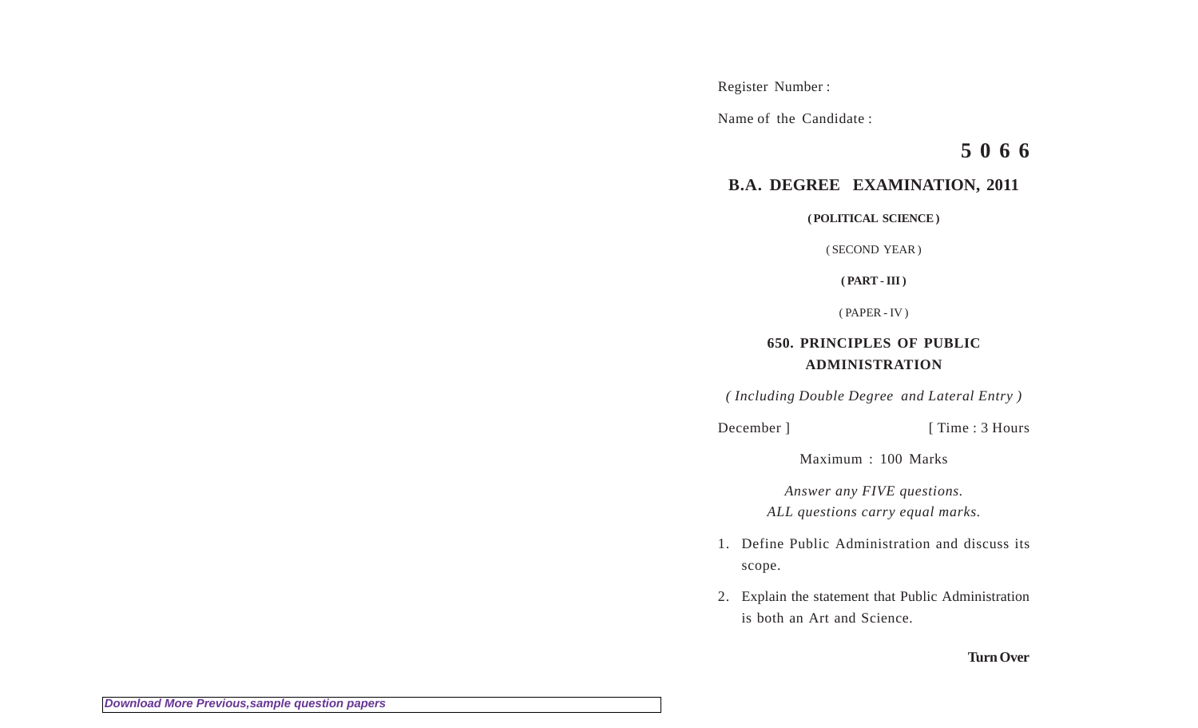Register Number :

Name of the Candidate :

**5 0 6 6**

## **B.A. DEGREE EXAMINATION, 2011**

**( POLITICAL SCIENCE )**

( SECOND YEAR )

**( PART - III )**

( PAPER - IV )

## **650. PRINCIPLES OF PUBLIC ADMINISTRATION**

*( Including Double Degree and Lateral Entry )*

December ] [ Time : 3 Hours

Maximum : 100 Marks

*Answer any FIVE questions. ALL questions carry equal marks.*

- 1. Define Public Administration and discuss its scope.
- 2. Explain the statement that Public Administration is both an Art and Science.

## **Turn Over**